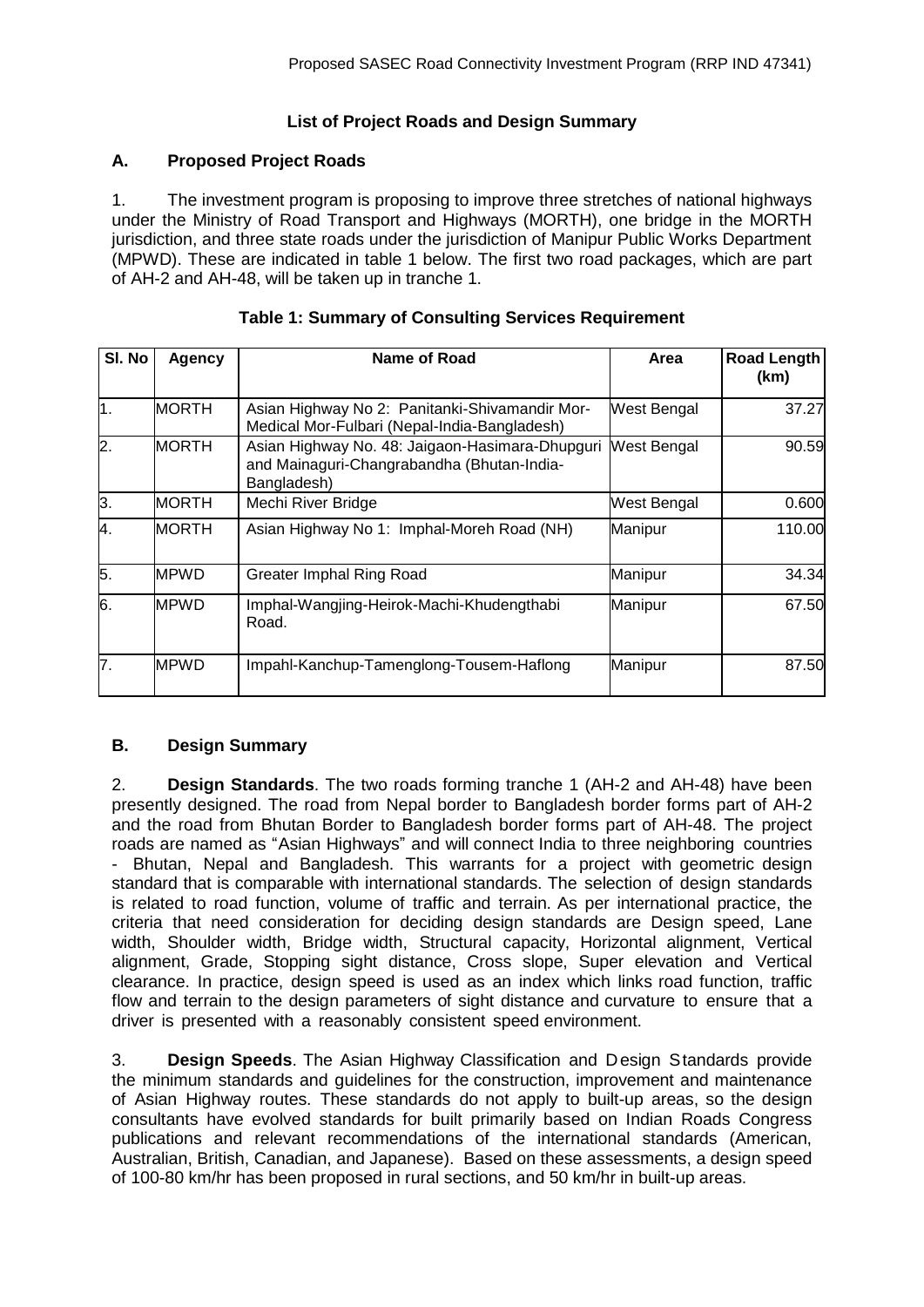## **List of Project Roads and Design Summary**

## **A. Proposed Project Roads**

1. The investment program is proposing to improve three stretches of national highways under the Ministry of Road Transport and Highways (MORTH), one bridge in the MORTH jurisdiction, and three state roads under the jurisdiction of Manipur Public Works Department (MPWD). These are indicated in table 1 below. The first two road packages, which are part of AH-2 and AH-48, will be taken up in tranche 1.

| SI. No           | <b>Agency</b> | Name of Road                                                                                                 | Area               | <b>Road Length</b><br>(km) |
|------------------|---------------|--------------------------------------------------------------------------------------------------------------|--------------------|----------------------------|
| $\overline{1}$ . | <b>MORTH</b>  | Asian Highway No 2: Panitanki-Shivamandir Mor-<br>Medical Mor-Fulbari (Nepal-India-Bangladesh)               | West Bengal        | 37.27                      |
| 2.               | <b>MORTH</b>  | Asian Highway No. 48: Jaigaon-Hasimara-Dhupguri<br>and Mainaguri-Changrabandha (Bhutan-India-<br>Bangladesh) | <b>West Bengal</b> | 90.59                      |
| 3.               | <b>MORTH</b>  | Mechi River Bridge                                                                                           | West Bengal        | 0.600                      |
| 4.               | <b>MORTH</b>  | Asian Highway No 1: Imphal-Moreh Road (NH)                                                                   | Manipur            | 110.00                     |
| 5.               | <b>MPWD</b>   | <b>Greater Imphal Ring Road</b>                                                                              | Manipur            | 34.34                      |
| 6.               | <b>MPWD</b>   | Imphal-Wangjing-Heirok-Machi-Khudengthabi<br>Road.                                                           | Manipur            | 67.50                      |
| 7.               | <b>MPWD</b>   | Impahl-Kanchup-Tamenglong-Tousem-Haflong                                                                     | Manipur            | 87.50                      |

## **Table 1: Summary of Consulting Services Requirement**

## **B. Design Summary**

2. **Design Standards**. The two roads forming tranche 1 (AH-2 and AH-48) have been presently designed. The road from Nepal border to Bangladesh border forms part of AH-2 and the road from Bhutan Border to Bangladesh border forms part of AH-48. The project roads are named as "Asian Highways" and will connect India to three neighboring countries - Bhutan, Nepal and Bangladesh. This warrants for a project with geometric design standard that is comparable with international standards. The selection of design standards is related to road function, volume of traffic and terrain. As per international practice, the criteria that need consideration for deciding design standards are Design speed, Lane width, Shoulder width, Bridge width, Structural capacity, Horizontal alignment, Vertical alignment, Grade, Stopping sight distance, Cross slope, Super elevation and Vertical clearance. In practice, design speed is used as an index which links road function, traffic flow and terrain to the design parameters of sight distance and curvature to ensure that a driver is presented with a reasonably consistent speed environment.

3. **Design Speeds**. The Asian Highway Classification and Design Standards provide the minimum standards and guidelines for the construction, improvement and maintenance of Asian Highway routes. These standards do not apply to built-up areas, so the design consultants have evolved standards for built primarily based on Indian Roads Congress publications and relevant recommendations of the international standards (American, Australian, British, Canadian, and Japanese). Based on these assessments, a design speed of 100-80 km/hr has been proposed in rural sections, and 50 km/hr in built-up areas.